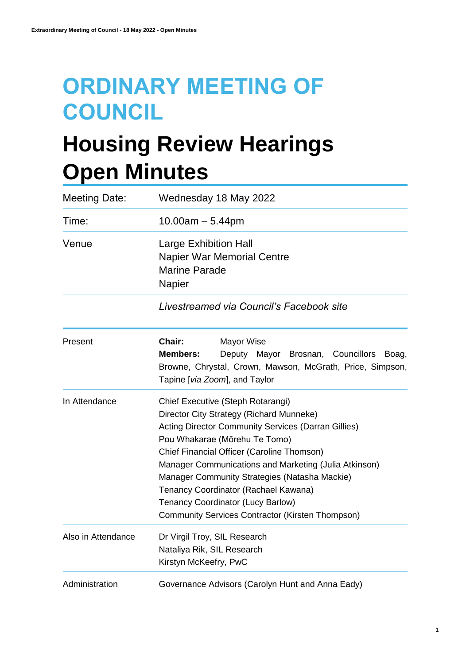# **ORDINARY MEETING OF COUNCIL**

# **Housing Review Hearings Open Minutes**

| <b>Meeting Date:</b> | Wednesday 18 May 2022                                                                                                                                                                                                                                                                                                                                                                                                                                                 |  |  |
|----------------------|-----------------------------------------------------------------------------------------------------------------------------------------------------------------------------------------------------------------------------------------------------------------------------------------------------------------------------------------------------------------------------------------------------------------------------------------------------------------------|--|--|
| Time:                | $10.00am - 5.44pm$                                                                                                                                                                                                                                                                                                                                                                                                                                                    |  |  |
| Venue                | <b>Large Exhibition Hall</b><br><b>Napier War Memorial Centre</b><br><b>Marine Parade</b><br>Napier                                                                                                                                                                                                                                                                                                                                                                   |  |  |
|                      | Livestreamed via Council's Facebook site                                                                                                                                                                                                                                                                                                                                                                                                                              |  |  |
| Present              | Chair:<br>Mayor Wise<br><b>Members:</b><br>Deputy Mayor Brosnan, Councillors<br>Boag,<br>Browne, Chrystal, Crown, Mawson, McGrath, Price, Simpson,<br>Tapine [via Zoom], and Taylor                                                                                                                                                                                                                                                                                   |  |  |
| In Attendance        | Chief Executive (Steph Rotarangi)<br>Director City Strategy (Richard Munneke)<br>Acting Director Community Services (Darran Gillies)<br>Pou Whakarae (Mōrehu Te Tomo)<br>Chief Financial Officer (Caroline Thomson)<br>Manager Communications and Marketing (Julia Atkinson)<br>Manager Community Strategies (Natasha Mackie)<br>Tenancy Coordinator (Rachael Kawana)<br>Tenancy Coordinator (Lucy Barlow)<br><b>Community Services Contractor (Kirsten Thompson)</b> |  |  |
| Also in Attendance   | Dr Virgil Troy, SIL Research<br>Nataliya Rik, SIL Research<br>Kirstyn McKeefry, PwC                                                                                                                                                                                                                                                                                                                                                                                   |  |  |
| Administration       | Governance Advisors (Carolyn Hunt and Anna Eady)                                                                                                                                                                                                                                                                                                                                                                                                                      |  |  |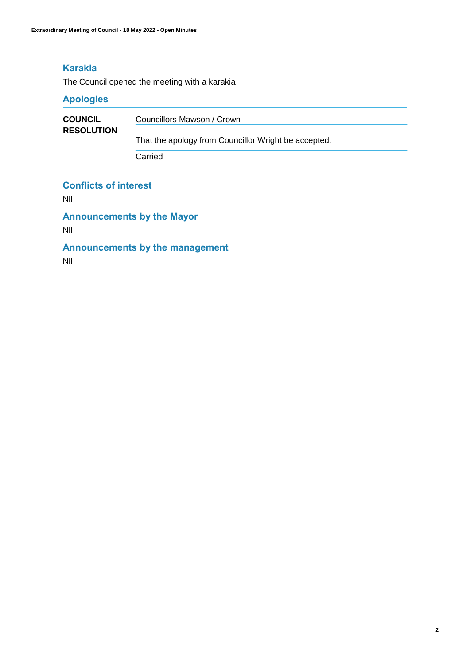# **Karakia**

The Council opened the meeting with a karakia

# **Apologies**

| <b>COUNCIL</b>    | Councillors Mawson / Crown                           |
|-------------------|------------------------------------------------------|
| <b>RESOLUTION</b> | That the apology from Councillor Wright be accepted. |
|                   | Carried                                              |

#### **Conflicts of interest**

Nil

**Announcements by the Mayor**

Nil

# **Announcements by the management**

Nil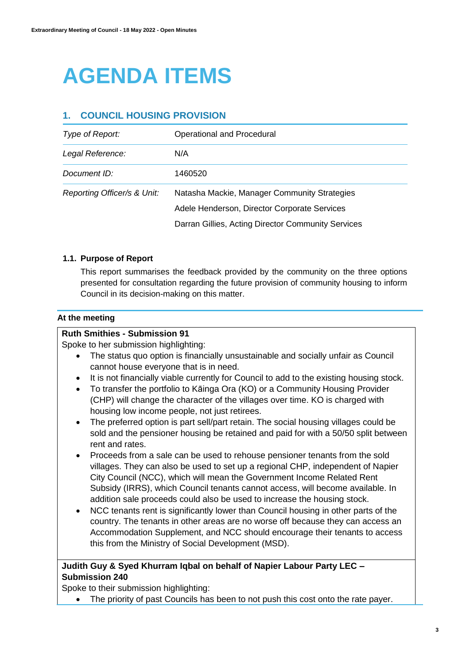# **AGENDA ITEMS**

# **1. COUNCIL HOUSING PROVISION**

| Type of Report:             | Operational and Procedural                         |
|-----------------------------|----------------------------------------------------|
| Legal Reference:            | N/A                                                |
| Document ID:                | 1460520                                            |
| Reporting Officer/s & Unit: | Natasha Mackie, Manager Community Strategies       |
|                             | Adele Henderson, Director Corporate Services       |
|                             | Darran Gillies, Acting Director Community Services |

### **1.1. Purpose of Report**

This report summarises the feedback provided by the community on the three options presented for consultation regarding the future provision of community housing to inform Council in its decision-making on this matter.

#### **At the meeting**

#### **Ruth Smithies - Submission 91**

Spoke to her submission highlighting:

- The status quo option is financially unsustainable and socially unfair as Council cannot house everyone that is in need.
- It is not financially viable currently for Council to add to the existing housing stock.
- To transfer the portfolio to Kāinga Ora (KO) or a Community Housing Provider (CHP) will change the character of the villages over time. KO is charged with housing low income people, not just retirees.
- The preferred option is part sell/part retain. The social housing villages could be sold and the pensioner housing be retained and paid for with a 50/50 split between rent and rates.
- Proceeds from a sale can be used to rehouse pensioner tenants from the sold villages. They can also be used to set up a regional CHP, independent of Napier City Council (NCC), which will mean the Government Income Related Rent Subsidy (IRRS), which Council tenants cannot access, will become available. In addition sale proceeds could also be used to increase the housing stock.
- NCC tenants rent is significantly lower than Council housing in other parts of the country. The tenants in other areas are no worse off because they can access an Accommodation Supplement, and NCC should encourage their tenants to access this from the Ministry of Social Development (MSD).

### **Judith Guy & Syed Khurram Iqbal on behalf of Napier Labour Party LEC – Submission 240**

Spoke to their submission highlighting:

• The priority of past Councils has been to not push this cost onto the rate payer.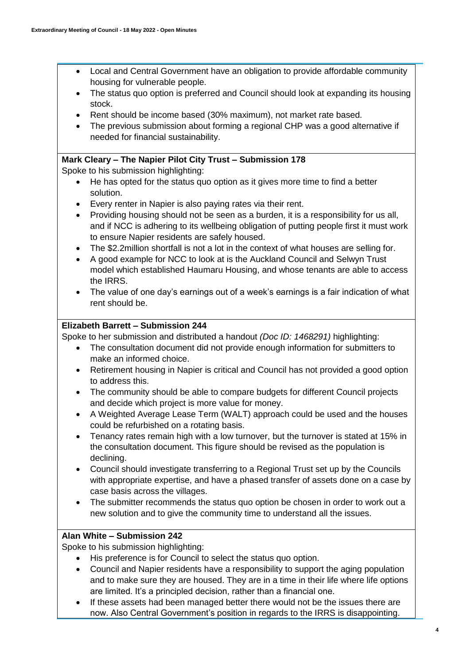- Local and Central Government have an obligation to provide affordable community housing for vulnerable people.
- The status quo option is preferred and Council should look at expanding its housing stock.
- Rent should be income based (30% maximum), not market rate based.
- The previous submission about forming a regional CHP was a good alternative if needed for financial sustainability.

# **Mark Cleary – The Napier Pilot City Trust – Submission 178**

Spoke to his submission highlighting:

- He has opted for the status quo option as it gives more time to find a better solution.
- Every renter in Napier is also paying rates via their rent.
- Providing housing should not be seen as a burden, it is a responsibility for us all, and if NCC is adhering to its wellbeing obligation of putting people first it must work to ensure Napier residents are safely housed.
- The \$2.2million shortfall is not a lot in the context of what houses are selling for.
- A good example for NCC to look at is the Auckland Council and Selwyn Trust model which established Haumaru Housing, and whose tenants are able to access the IRRS.
- The value of one day's earnings out of a week's earnings is a fair indication of what rent should be.

### **Elizabeth Barrett – Submission 244**

Spoke to her submission and distributed a handout *(Doc ID: 1468291)* highlighting:

- The consultation document did not provide enough information for submitters to make an informed choice.
- Retirement housing in Napier is critical and Council has not provided a good option to address this.
- The community should be able to compare budgets for different Council projects and decide which project is more value for money.
- A Weighted Average Lease Term (WALT) approach could be used and the houses could be refurbished on a rotating basis.
- Tenancy rates remain high with a low turnover, but the turnover is stated at 15% in the consultation document. This figure should be revised as the population is declining.
- Council should investigate transferring to a Regional Trust set up by the Councils with appropriate expertise, and have a phased transfer of assets done on a case by case basis across the villages.
- The submitter recommends the status quo option be chosen in order to work out a new solution and to give the community time to understand all the issues.

### **Alan White – Submission 242**

Spoke to his submission highlighting:

- His preference is for Council to select the status quo option.
- Council and Napier residents have a responsibility to support the aging population and to make sure they are housed. They are in a time in their life where life options are limited. It's a principled decision, rather than a financial one.
- If these assets had been managed better there would not be the issues there are now. Also Central Government's position in regards to the IRRS is disappointing.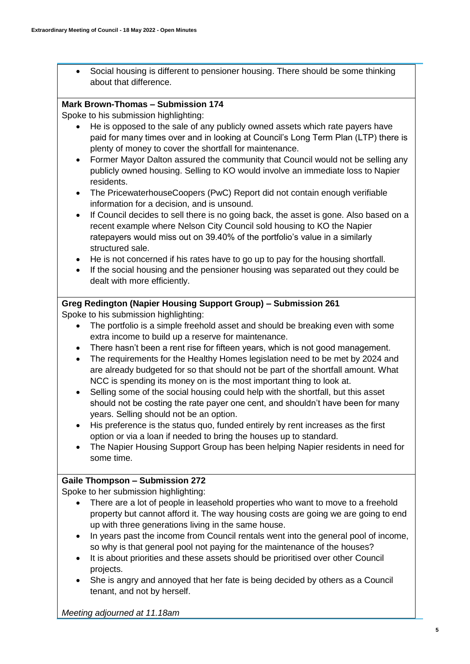Social housing is different to pensioner housing. There should be some thinking about that difference.

### **Mark Brown-Thomas – Submission 174**

Spoke to his submission highlighting:

- He is opposed to the sale of any publicly owned assets which rate payers have paid for many times over and in looking at Council's Long Term Plan (LTP) there is plenty of money to cover the shortfall for maintenance.
- Former Mayor Dalton assured the community that Council would not be selling any publicly owned housing. Selling to KO would involve an immediate loss to Napier residents.
- The PricewaterhouseCoopers (PwC) Report did not contain enough verifiable information for a decision, and is unsound.
- If Council decides to sell there is no going back, the asset is gone. Also based on a recent example where Nelson City Council sold housing to KO the Napier ratepayers would miss out on 39.40% of the portfolio's value in a similarly structured sale.
- He is not concerned if his rates have to go up to pay for the housing shortfall.
- If the social housing and the pensioner housing was separated out they could be dealt with more efficiently.

### **Greg Redington (Napier Housing Support Group) – Submission 261**

Spoke to his submission highlighting:

- The portfolio is a simple freehold asset and should be breaking even with some extra income to build up a reserve for maintenance.
- There hasn't been a rent rise for fifteen years, which is not good management.
- The requirements for the Healthy Homes legislation need to be met by 2024 and are already budgeted for so that should not be part of the shortfall amount. What NCC is spending its money on is the most important thing to look at.
- Selling some of the social housing could help with the shortfall, but this asset should not be costing the rate payer one cent, and shouldn't have been for many years. Selling should not be an option.
- His preference is the status quo, funded entirely by rent increases as the first option or via a loan if needed to bring the houses up to standard.
- The Napier Housing Support Group has been helping Napier residents in need for some time.

### **Gaile Thompson – Submission 272**

Spoke to her submission highlighting:

- There are a lot of people in leasehold properties who want to move to a freehold property but cannot afford it. The way housing costs are going we are going to end up with three generations living in the same house.
- In years past the income from Council rentals went into the general pool of income, so why is that general pool not paying for the maintenance of the houses?
- It is about priorities and these assets should be prioritised over other Council projects.
- She is angry and annoyed that her fate is being decided by others as a Council tenant, and not by herself.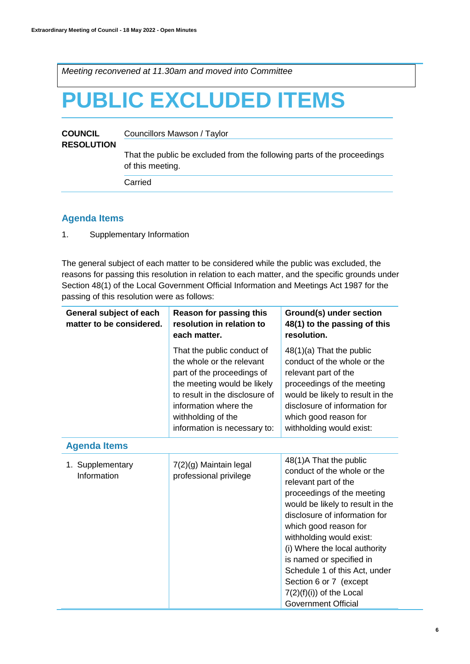*Meeting reconvened at 11.30am and moved into Committee* 

# **PUBLIC EXCLUDED ITEMS**

| <b>COUNCIL</b><br><b>RESOLUTION</b> | Councillors Mawson / Taylor                                                                 |  |
|-------------------------------------|---------------------------------------------------------------------------------------------|--|
|                                     | That the public be excluded from the following parts of the proceedings<br>of this meeting. |  |
|                                     | Carried                                                                                     |  |

# **Agenda Items**

1. Supplementary Information

The general subject of each matter to be considered while the public was excluded, the reasons for passing this resolution in relation to each matter, and the specific grounds under Section 48(1) of the Local Government Official Information and Meetings Act 1987 for the passing of this resolution were as follows:

| General subject of each<br>matter to be considered. | <b>Reason for passing this</b><br>resolution in relation to<br>each matter.                                                                                                                                                           | Ground(s) under section<br>48(1) to the passing of this<br>resolution.                                                                                                                                                                                                                                                                                                                                                    |
|-----------------------------------------------------|---------------------------------------------------------------------------------------------------------------------------------------------------------------------------------------------------------------------------------------|---------------------------------------------------------------------------------------------------------------------------------------------------------------------------------------------------------------------------------------------------------------------------------------------------------------------------------------------------------------------------------------------------------------------------|
|                                                     | That the public conduct of<br>the whole or the relevant<br>part of the proceedings of<br>the meeting would be likely<br>to result in the disclosure of<br>information where the<br>withholding of the<br>information is necessary to: | $48(1)(a)$ That the public<br>conduct of the whole or the<br>relevant part of the<br>proceedings of the meeting<br>would be likely to result in the<br>disclosure of information for<br>which good reason for<br>withholding would exist:                                                                                                                                                                                 |
| <b>Agenda Items</b>                                 |                                                                                                                                                                                                                                       |                                                                                                                                                                                                                                                                                                                                                                                                                           |
| 1. Supplementary<br>Information                     | 7(2)(g) Maintain legal<br>professional privilege                                                                                                                                                                                      | 48(1)A That the public<br>conduct of the whole or the<br>relevant part of the<br>proceedings of the meeting<br>would be likely to result in the<br>disclosure of information for<br>which good reason for<br>withholding would exist:<br>(i) Where the local authority<br>is named or specified in<br>Schedule 1 of this Act, under<br>Section 6 or 7 (except<br>$7(2)(f)(i))$ of the Local<br><b>Government Official</b> |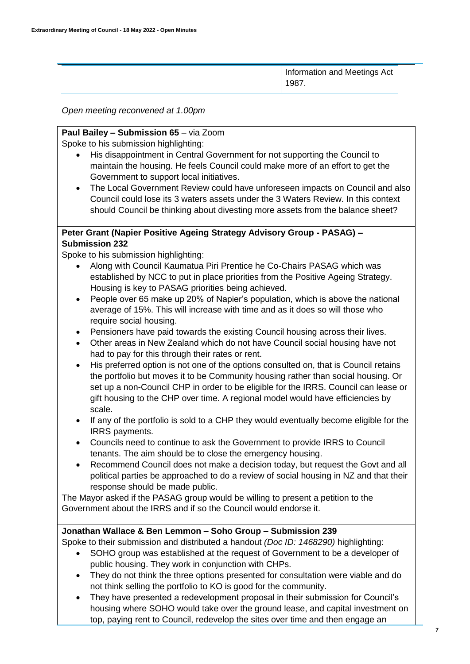| Information and Meetings Act<br>1987. |
|---------------------------------------|
|---------------------------------------|

#### *Open meeting reconvened at 1.00pm*

#### **Paul Bailey – Submission 65** – via Zoom

Spoke to his submission highlighting:

- His disappointment in Central Government for not supporting the Council to maintain the housing. He feels Council could make more of an effort to get the Government to support local initiatives.
- The Local Government Review could have unforeseen impacts on Council and also Council could lose its 3 waters assets under the 3 Waters Review. In this context should Council be thinking about divesting more assets from the balance sheet?

#### **Peter Grant (Napier Positive Ageing Strategy Advisory Group - PASAG) – Submission 232**

Spoke to his submission highlighting:

- Along with Council Kaumatua Piri Prentice he Co-Chairs PASAG which was established by NCC to put in place priorities from the Positive Ageing Strategy. Housing is key to PASAG priorities being achieved.
- People over 65 make up 20% of Napier's population, which is above the national average of 15%. This will increase with time and as it does so will those who require social housing.
- Pensioners have paid towards the existing Council housing across their lives.
- Other areas in New Zealand which do not have Council social housing have not had to pay for this through their rates or rent.
- His preferred option is not one of the options consulted on, that is Council retains the portfolio but moves it to be Community housing rather than social housing. Or set up a non-Council CHP in order to be eligible for the IRRS. Council can lease or gift housing to the CHP over time. A regional model would have efficiencies by scale.
- If any of the portfolio is sold to a CHP they would eventually become eligible for the IRRS payments.
- Councils need to continue to ask the Government to provide IRRS to Council tenants. The aim should be to close the emergency housing.
- Recommend Council does not make a decision today, but request the Govt and all political parties be approached to do a review of social housing in NZ and that their response should be made public.

The Mayor asked if the PASAG group would be willing to present a petition to the Government about the IRRS and if so the Council would endorse it.

### **Jonathan Wallace & Ben Lemmon – Soho Group – Submission 239**

Spoke to their submission and distributed a handout *(Doc ID: 1468290)* highlighting:

- SOHO group was established at the request of Government to be a developer of public housing. They work in conjunction with CHPs.
- They do not think the three options presented for consultation were viable and do not think selling the portfolio to KO is good for the community.
- They have presented a redevelopment proposal in their submission for Council's housing where SOHO would take over the ground lease, and capital investment on top, paying rent to Council, redevelop the sites over time and then engage an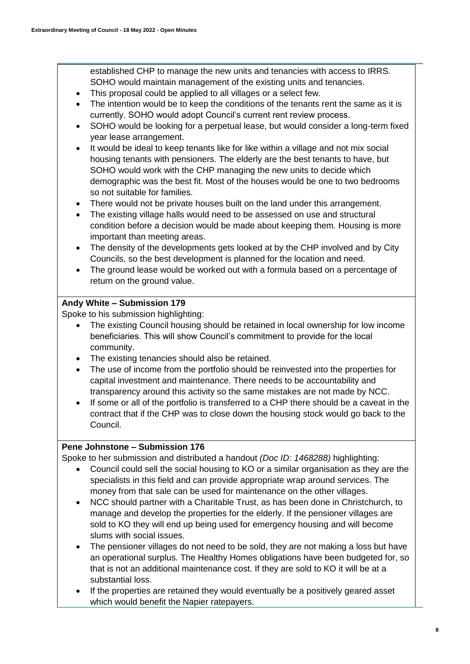established CHP to manage the new units and tenancies with access to IRRS. SOHO would maintain management of the existing units and tenancies.

- This proposal could be applied to all villages or a select few.
- The intention would be to keep the conditions of the tenants rent the same as it is currently. SOHO would adopt Council's current rent review process.
- SOHO would be looking for a perpetual lease, but would consider a long-term fixed year lease arrangement.
- It would be ideal to keep tenants like for like within a village and not mix social housing tenants with pensioners. The elderly are the best tenants to have, but SOHO would work with the CHP managing the new units to decide which demographic was the best fit. Most of the houses would be one to two bedrooms so not suitable for families.
- There would not be private houses built on the land under this arrangement.
- The existing village halls would need to be assessed on use and structural condition before a decision would be made about keeping them. Housing is more important than meeting areas.
- The density of the developments gets looked at by the CHP involved and by City Councils, so the best development is planned for the location and need.
- The ground lease would be worked out with a formula based on a percentage of return on the ground value.

# **Andy White – Submission 179**

Spoke to his submission highlighting:

- The existing Council housing should be retained in local ownership for low income beneficiaries. This will show Council's commitment to provide for the local community.
- The existing tenancies should also be retained.
- The use of income from the portfolio should be reinvested into the properties for capital investment and maintenance. There needs to be accountability and transparency around this activity so the same mistakes are not made by NCC.
- If some or all of the portfolio is transferred to a CHP there should be a caveat in the contract that if the CHP was to close down the housing stock would go back to the Council.

### **Pene Johnstone – Submission 176**

Spoke to her submission and distributed a handout *(Doc ID: 1468288)* highlighting:

- Council could sell the social housing to KO or a similar organisation as they are the specialists in this field and can provide appropriate wrap around services. The money from that sale can be used for maintenance on the other villages.
- NCC should partner with a Charitable Trust, as has been done in Christchurch, to manage and develop the properties for the elderly. If the pensioner villages are sold to KO they will end up being used for emergency housing and will become slums with social issues.
- The pensioner villages do not need to be sold, they are not making a loss but have an operational surplus. The Healthy Homes obligations have been budgeted for, so that is not an additional maintenance cost. If they are sold to KO it will be at a substantial loss.
- If the properties are retained they would eventually be a positively geared asset which would benefit the Napier ratepayers.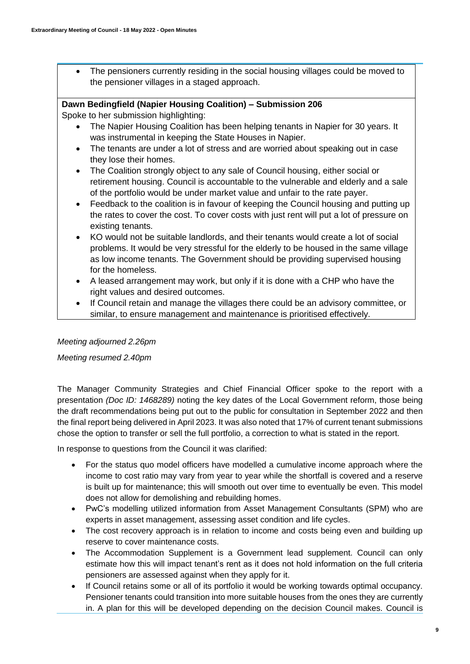The pensioners currently residing in the social housing villages could be moved to the pensioner villages in a staged approach.

#### **Dawn Bedingfield (Napier Housing Coalition) – Submission 206**

Spoke to her submission highlighting:

- The Napier Housing Coalition has been helping tenants in Napier for 30 years. It was instrumental in keeping the State Houses in Napier.
- The tenants are under a lot of stress and are worried about speaking out in case they lose their homes.
- The Coalition strongly object to any sale of Council housing, either social or retirement housing. Council is accountable to the vulnerable and elderly and a sale of the portfolio would be under market value and unfair to the rate payer.
- Feedback to the coalition is in favour of keeping the Council housing and putting up the rates to cover the cost. To cover costs with just rent will put a lot of pressure on existing tenants.
- KO would not be suitable landlords, and their tenants would create a lot of social problems. It would be very stressful for the elderly to be housed in the same village as low income tenants. The Government should be providing supervised housing for the homeless.
- A leased arrangement may work, but only if it is done with a CHP who have the right values and desired outcomes.
- If Council retain and manage the villages there could be an advisory committee, or similar, to ensure management and maintenance is prioritised effectively.

### *Meeting adjourned 2.26pm*

*Meeting resumed 2.40pm*

The Manager Community Strategies and Chief Financial Officer spoke to the report with a presentation *(Doc ID: 1468289)* noting the key dates of the Local Government reform, those being the draft recommendations being put out to the public for consultation in September 2022 and then the final report being delivered in April 2023. It was also noted that 17% of current tenant submissions chose the option to transfer or sell the full portfolio, a correction to what is stated in the report.

In response to questions from the Council it was clarified:

- For the status quo model officers have modelled a cumulative income approach where the income to cost ratio may vary from year to year while the shortfall is covered and a reserve is built up for maintenance; this will smooth out over time to eventually be even. This model does not allow for demolishing and rebuilding homes.
- PwC's modelling utilized information from Asset Management Consultants (SPM) who are experts in asset management, assessing asset condition and life cycles.
- The cost recovery approach is in relation to income and costs being even and building up reserve to cover maintenance costs.
- The Accommodation Supplement is a Government lead supplement. Council can only estimate how this will impact tenant's rent as it does not hold information on the full criteria pensioners are assessed against when they apply for it.
- If Council retains some or all of its portfolio it would be working towards optimal occupancy. Pensioner tenants could transition into more suitable houses from the ones they are currently in. A plan for this will be developed depending on the decision Council makes. Council is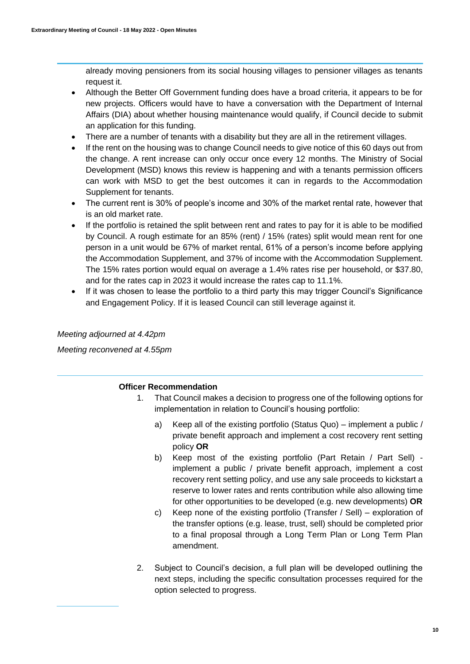already moving pensioners from its social housing villages to pensioner villages as tenants request it.

- Although the Better Off Government funding does have a broad criteria, it appears to be for new projects. Officers would have to have a conversation with the Department of Internal Affairs (DIA) about whether housing maintenance would qualify, if Council decide to submit an application for this funding.
- There are a number of tenants with a disability but they are all in the retirement villages.
- If the rent on the housing was to change Council needs to give notice of this 60 days out from the change. A rent increase can only occur once every 12 months. The Ministry of Social Development (MSD) knows this review is happening and with a tenants permission officers can work with MSD to get the best outcomes it can in regards to the Accommodation Supplement for tenants.
- The current rent is 30% of people's income and 30% of the market rental rate, however that is an old market rate.
- If the portfolio is retained the split between rent and rates to pay for it is able to be modified by Council. A rough estimate for an 85% (rent) / 15% (rates) split would mean rent for one person in a unit would be 67% of market rental, 61% of a person's income before applying the Accommodation Supplement, and 37% of income with the Accommodation Supplement. The 15% rates portion would equal on average a 1.4% rates rise per household, or \$37.80, and for the rates cap in 2023 it would increase the rates cap to 11.1%.
- If it was chosen to lease the portfolio to a third party this may trigger Council's Significance and Engagement Policy. If it is leased Council can still leverage against it.

#### *Meeting adjourned at 4.42pm*

*Meeting reconvened at 4.55pm*

#### **Officer Recommendation**

- 1. That Council makes a decision to progress one of the following options for implementation in relation to Council's housing portfolio:
	- a) Keep all of the existing portfolio (Status Quo) implement a public / private benefit approach and implement a cost recovery rent setting policy **OR**
	- b) Keep most of the existing portfolio (Part Retain / Part Sell) implement a public / private benefit approach, implement a cost recovery rent setting policy, and use any sale proceeds to kickstart a reserve to lower rates and rents contribution while also allowing time for other opportunities to be developed (e.g. new developments) **OR**
	- c) Keep none of the existing portfolio (Transfer / Sell) exploration of the transfer options (e.g. lease, trust, sell) should be completed prior to a final proposal through a Long Term Plan or Long Term Plan amendment.
- 2. Subject to Council's decision, a full plan will be developed outlining the next steps, including the specific consultation processes required for the option selected to progress.